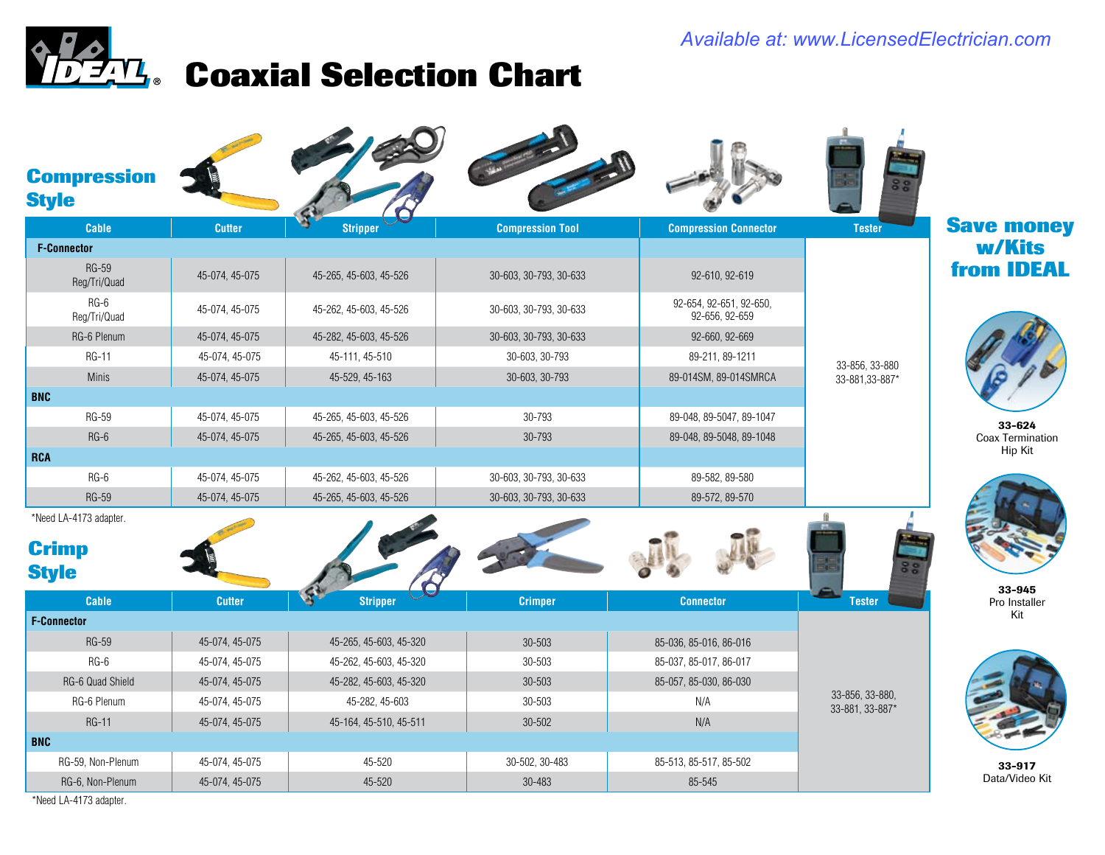### *Available at: www.LicensedElectrician.com*

# **Coaxial Selection Chart**

| <b>Compression</b><br><b>Style</b> |                |                        |                         |                                           |                                    |                         |
|------------------------------------|----------------|------------------------|-------------------------|-------------------------------------------|------------------------------------|-------------------------|
| <b>Cable</b>                       | <b>Cutter</b>  | <b>Stripper</b>        | <b>Compression Tool</b> | <b>Compression Connector</b>              | <b>Tester</b>                      | <b>Save money</b>       |
| <b>F-Connector</b>                 |                |                        |                         |                                           |                                    | w/Kits                  |
| <b>RG-59</b><br>Reg/Tri/Quad       | 45-074, 45-075 | 45-265, 45-603, 45-526 | 30-603, 30-793, 30-633  | 92-610, 92-619                            |                                    | from <b>IDEAL</b>       |
| RG-6<br>Reg/Tri/Quad               | 45-074, 45-075 | 45-262, 45-603, 45-526 | 30-603, 30-793, 30-633  | 92-654, 92-651, 92-650,<br>92-656, 92-659 | 33-856, 33-880                     |                         |
| RG-6 Plenum                        | 45-074, 45-075 | 45-282, 45-603, 45-526 | 30-603, 30-793, 30-633  | 92-660, 92-669                            |                                    |                         |
| <b>RG-11</b>                       | 45-074, 45-075 | 45-111, 45-510         | 30-603, 30-793          | 89-211, 89-1211                           |                                    |                         |
| Minis                              | 45-074, 45-075 | 45-529, 45-163         | 30-603, 30-793          | 89-014SM, 89-014SMRCA                     | 33-881,33-887*                     |                         |
| <b>BNC</b>                         |                |                        |                         |                                           |                                    |                         |
| <b>RG-59</b>                       | 45-074, 45-075 | 45-265, 45-603, 45-526 | 30-793                  | 89-048, 89-5047, 89-1047                  |                                    | 33-624                  |
| $RG-6$                             | 45-074, 45-075 | 45-265, 45-603, 45-526 | 30-793                  | 89-048, 89-5048, 89-1048                  |                                    | <b>Coax Termination</b> |
| <b>RCA</b>                         |                |                        |                         |                                           |                                    | Hip Kit                 |
| RG-6                               | 45-074, 45-075 | 45-262, 45-603, 45-526 | 30-603, 30-793, 30-633  | 89-582, 89-580                            |                                    |                         |
| <b>RG-59</b>                       | 45-074, 45-075 | 45-265, 45-603, 45-526 | 30-603, 30-793, 30-633  | 89-572, 89-570                            |                                    |                         |
| *Need LA-4173 adapter.             |                |                        |                         |                                           |                                    |                         |
| <b>Crimp</b>                       |                |                        |                         |                                           |                                    |                         |
| <b>Style</b>                       |                |                        |                         |                                           |                                    | 33-945                  |
| Cable                              | <b>Cutter</b>  | <b>Stripper</b>        | <b>Crimper</b>          | <b>Connector</b>                          | <b>Tester</b>                      | Pro Installer           |
| <b>F-Connector</b>                 |                |                        |                         |                                           |                                    | Kit                     |
| <b>RG-59</b>                       | 45-074, 45-075 | 45-265, 45-603, 45-320 | 30-503                  | 85-036, 85-016, 86-016                    | 33-856, 33-880,<br>33-881, 33-887* |                         |
| $RG-6$                             | 45-074, 45-075 | 45-262, 45-603, 45-320 | 30-503                  | 85-037, 85-017, 86-017                    |                                    |                         |
| RG-6 Quad Shield                   | 45-074, 45-075 | 45-282, 45-603, 45-320 | 30-503                  | 85-057, 85-030, 86-030                    |                                    |                         |
| RG-6 Plenum                        | 45-074, 45-075 | 45-282, 45-603         | 30-503                  | N/A                                       |                                    |                         |
| <b>RG-11</b>                       | 45-074, 45-075 | 45-164, 45-510, 45-511 | 30-502                  | N/A                                       |                                    |                         |
| <b>BNC</b>                         |                |                        |                         |                                           |                                    |                         |
| RG-59, Non-Plenum                  | 45-074, 45-075 | 45-520                 | 30-502, 30-483          | 85-513, 85-517, 85-502                    |                                    | 33-917                  |
| RG-6, Non-Plenum                   | 45-074, 45-075 | 45-520                 | 30-483                  | 85-545                                    |                                    | Data/Video Kit          |

\*Need LA-4173 adapter.